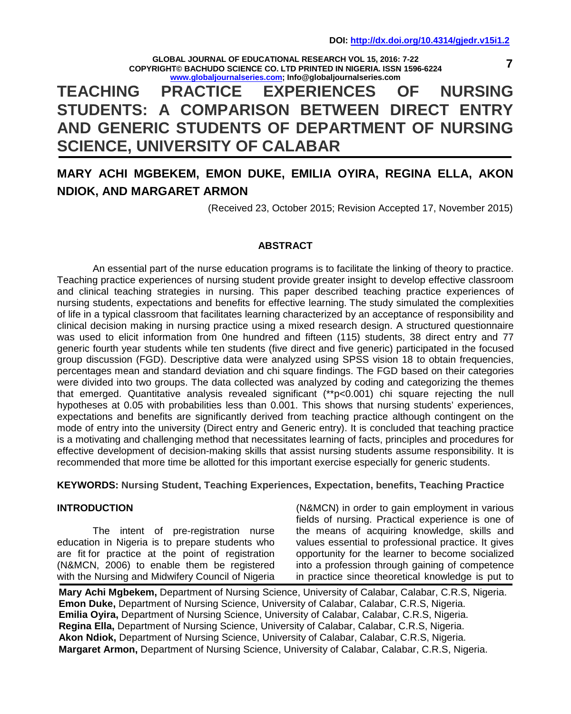**GLOBAL JOURNAL OF EDUCATIONAL RESEARCH VOL 15, 2016: 7-22 COPYRIGHT© BACHUDO SCIENCE CO. LTD PRINTED IN NIGERIA. ISSN 1596-6224 www.globaljournalseries.com; Info@globaljournalseries.com**

**7**

# **TEACHING PRACTICE EXPERIENCES OF NURSING STUDENTS: A COMPARISON BETWEEN DIRECT ENTRY AND GENERIC STUDENTS OF DEPARTMENT OF NURSING SCIENCE, UNIVERSITY OF CALABAR**

# **MARY ACHI MGBEKEM, EMON DUKE, EMILIA OYIRA, REGINA ELLA, AKON NDIOK, AND MARGARET ARMON**

(Received 23, October 2015; Revision Accepted 17, November 2015)

# **ABSTRACT**

An essential part of the nurse education programs is to facilitate the linking of theory to practice. Teaching practice experiences of nursing student provide greater insight to develop effective classroom and clinical teaching strategies in nursing. This paper described teaching practice experiences of nursing students, expectations and benefits for effective learning. The study simulated the complexities of life in a typical classroom that facilitates learning characterized by an acceptance of responsibility and clinical decision making in nursing practice using a mixed research design. A structured questionnaire was used to elicit information from 0ne hundred and fifteen (115) students, 38 direct entry and 77 generic fourth year students while ten students (five direct and five generic) participated in the focused group discussion (FGD). Descriptive data were analyzed using SPSS vision 18 to obtain frequencies, percentages mean and standard deviation and chi square findings. The FGD based on their categories were divided into two groups. The data collected was analyzed by coding and categorizing the themes that emerged. Quantitative analysis revealed significant (\*\*p<0.001) chi square rejecting the null hypotheses at 0.05 with probabilities less than 0.001. This shows that nursing students' experiences, expectations and benefits are significantly derived from teaching practice although contingent on the mode of entry into the university (Direct entry and Generic entry). It is concluded that teaching practice is a motivating and challenging method that necessitates learning of facts, principles and procedures for effective development of decision-making skills that assist nursing students assume responsibility. It is recommended that more time be allotted for this important exercise especially for generic students.

# **KEYWORDS: Nursing Student, Teaching Experiences, Expectation, benefits, Teaching Practice**

#### **INTRODUCTION**

The intent of pre-registration nurse education in Nigeria is to prepare students who are fit for practice at the point of registration (N&MCN, 2006) to enable them be registered with the Nursing and Midwifery Council of Nigeria

(N&MCN) in order to gain employment in various fields of nursing. Practical experience is one of the means of acquiring knowledge, skills and values essential to professional practice. It gives opportunity for the learner to become socialized into a profession through gaining of competence in practice since theoretical knowledge is put to

**Mary Achi Mgbekem,** Department of Nursing Science, University of Calabar, Calabar, C.R.S, Nigeria. **Emon Duke,** Department of Nursing Science, University of Calabar, Calabar, C.R.S, Nigeria. **Emilia Oyira, Department of Nursing Science, University of Calabar, Calabar, C.R.S, Nigeria. Regina Ella,** Department of Nursing Science, University of Calabar, Calabar, C.R.S, Nigeria. **Akon Ndiok,** Department of Nursing Science, University of Calabar, Calabar, C.R.S, Nigeria. **Margaret Armon,** Department of Nursing Science, University of Calabar, Calabar, C.R.S, Nigeria.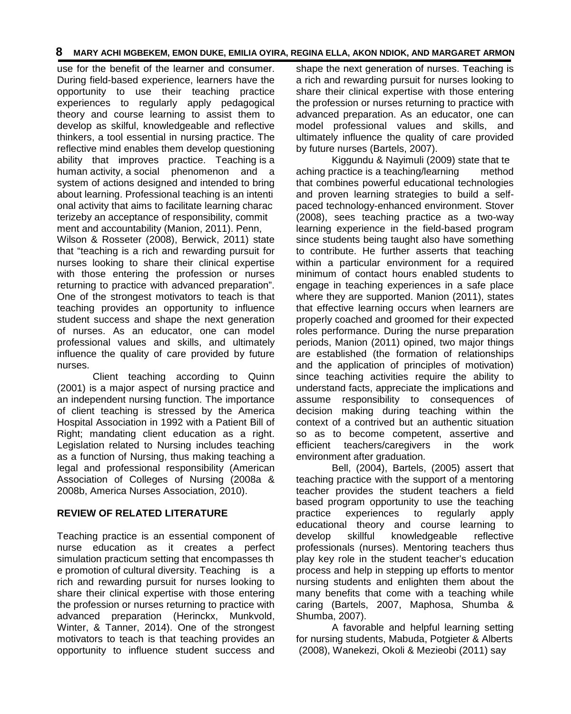use for the benefit of the learner and consumer. During field-based experience, learners have the opportunity to use their teaching practice experiences to regularly apply pedagogical theory and course learning to assist them to develop as skilful, knowledgeable and reflective thinkers, a tool essential in nursing practice. The reflective mind enables them develop questioning ability that improves practice. Teaching is a human activity, a social phenomenon and a system of actions designed and intended to bring about learning. Professional teaching is an intenti onal activity that aims to facilitate learning charac terizeby an acceptance of responsibility, commit ment and accountability (Manion, 2011). Penn, Wilson & Rosseter (2008), Berwick, 2011) state that "teaching is a rich and rewarding pursuit for nurses looking to share their clinical expertise with those entering the profession or nurses returning to practice with advanced preparation". One of the strongest motivators to teach is that teaching provides an opportunity to influence student success and shape the next generation of nurses. As an educator, one can model professional values and skills, and ultimately influence the quality of care provided by future nurses.

Client teaching according to Quinn (2001) is a major aspect of nursing practice and an independent nursing function. The importance of client teaching is stressed by the America Hospital Association in 1992 with a Patient Bill of Right; mandating client education as a right. Legislation related to Nursing includes teaching as a function of Nursing, thus making teaching a legal and professional responsibility (American Association of Colleges of Nursing (2008a & 2008b, America Nurses Association, 2010).

# **REVIEW OF RELATED LITERATURE**

Teaching practice is an essential component of nurse education as it creates a perfect simulation practicum setting that encompasses th e promotion of cultural diversity. Teaching is a rich and rewarding pursuit for nurses looking to share their clinical expertise with those entering the profession or nurses returning to practice with advanced preparation (Herinckx, Munkvold, Winter, & Tanner, 2014). One of the strongest motivators to teach is that teaching provides an opportunity to influence student success and

shape the next generation of nurses. Teaching is a rich and rewarding pursuit for nurses looking to share their clinical expertise with those entering the profession or nurses returning to practice with advanced preparation. As an educator, one can model professional values and skills, and ultimately influence the quality of care provided by future nurses (Bartels, 2007).

Kiggundu & Nayimuli (2009) state that te aching practice is a teaching/learning method that combines powerful educational technologies and proven learning strategies to build a self paced technology-enhanced environment. Stover (2008), sees teaching practice as a two-way learning experience in the field-based program since students being taught also have something to contribute. He further asserts that teaching within a particular environment for a required minimum of contact hours enabled students to engage in teaching experiences in a safe place where they are supported. Manion (2011), states that effective learning occurs when learners are properly coached and groomed for their expected roles performance. During the nurse preparation periods, Manion (2011) opined, two major things are established (the formation of relationships and the application of principles of motivation) since teaching activities require the ability to understand facts, appreciate the implications and assume responsibility to consequences of decision making during teaching within the context of a contrived but an authentic situation so as to become competent, assertive and efficient teachers/caregivers in the work environment after graduation.

Bell, (2004), Bartels, (2005) assert that teaching practice with the support of a mentoring teacher provides the student teachers a field based program opportunity to use the teaching practice experiences to regularly apply educational theory and course learning to develop skillful knowledgeable reflective professionals (nurses). Mentoring teachers thus play key role in the student teacher's education process and help in stepping up efforts to mentor nursing students and enlighten them about the many benefits that come with a teaching while caring (Bartels, 2007, Maphosa, Shumba & Shumba, 2007).

A favorable and helpful learning setting for nursing students, Mabuda, Potgieter & Alberts (2008), Wanekezi, Okoli & Mezieobi (2011) say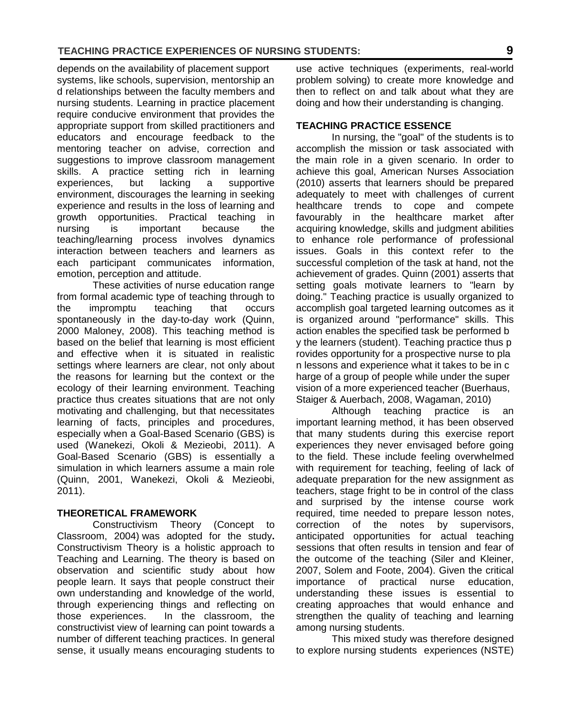depends on the availability of placement support systems, like schools, supervision, mentorship an d relationships between the faculty members and nursing students. Learning in practice placement require conducive environment that provides the appropriate support from skilled practitioners and educators and encourage feedback to the mentoring teacher on advise, correction and suggestions to improve classroom management skills. A practice setting rich in learning experiences, but lacking a supportive environment, discourages the learning in seeking experience and results in the loss of learning and growth opportunities. Practical teaching in nursing is important because the teaching/learning process involves dynamics interaction between teachers and learners as each participant communicates information, emotion, perception and attitude.

These activities of nurse education range from formal academic type of teaching through to the impromptu teaching that occurs spontaneously in the day-to-day work (Quinn, 2000 Maloney, 2008). This teaching method is based on the belief that learning is most efficient and effective when it is situated in realistic settings where learners are clear, not only about the reasons for learning but the context or the ecology of their learning environment. Teaching practice thus creates situations that are not only motivating and challenging, but that necessitates learning of facts, principles and procedures, especially when a Goal-Based Scenario (GBS) is used (Wanekezi, Okoli & Mezieobi, 2011). A Goal-Based Scenario (GBS) is essentially a simulation in which learners assume a main role (Quinn, 2001, Wanekezi, Okoli & Mezieobi, 2011).

# **THEORETICAL FRAMEWORK**

Constructivism Theory (Concept to Classroom, 2004) was adopted for the study**.** Constructivism Theory is a holistic approach to Teaching and Learning. The theory is based on observation and scientific study about how people learn. It says that people construct their own understanding and knowledge of the world, through experiencing things and reflecting on those experiences. In the classroom, the constructivist view of learning can point towards a number of different teaching practices. In general sense, it usually means encouraging students to

use active techniques (experiments, real-world problem solving) to create more knowledge and then to reflect on and talk about what they are doing and how their understanding is changing.

# **TEACHING PRACTICE ESSENCE**

In nursing, the "goal" of the students is to accomplish the mission or task associated with the main role in a given scenario. In order to achieve this goal, American Nurses Association (2010) asserts that learners should be prepared adequately to meet with challenges of current healthcare trends to cope and compete favourably in the healthcare market after acquiring knowledge, skills and judgment abilities to enhance role performance of professional issues. Goals in this context refer to the successful completion of the task at hand, not the achievement of grades. Quinn (2001) asserts that setting goals motivate learners to "learn by doing." Teaching practice is usually organized to accomplish goal targeted learning outcomes as it is organized around "performance" skills. This action enables the specified task be performed b y the learners (student). Teaching practice thus p rovides opportunity for a prospective nurse to pla n lessons and experience what it takes to be in c harge of a group of people while under the super vision of a more experienced teacher (Buerhaus, Staiger & Auerbach, 2008, Wagaman, 2010)

Although teaching practice is an important learning method, it has been observed that many students during this exercise report experiences they never envisaged before going to the field. These include feeling overwhelmed with requirement for teaching, feeling of lack of adequate preparation for the new assignment as teachers, stage fright to be in control of the class and surprised by the intense course work required, time needed to prepare lesson notes, of the notes by supervisors, anticipated opportunities for actual teaching sessions that often results in tension and fear of the outcome of the teaching (Siler and Kleiner, 2007, Solem and Foote, 2004). Given the critical importance of practical nurse education, understanding these issues is essential to creating approaches that would enhance and strengthen the quality of teaching and learning among nursing students.

This mixed study was therefore designed to explore nursing students experiences (NSTE)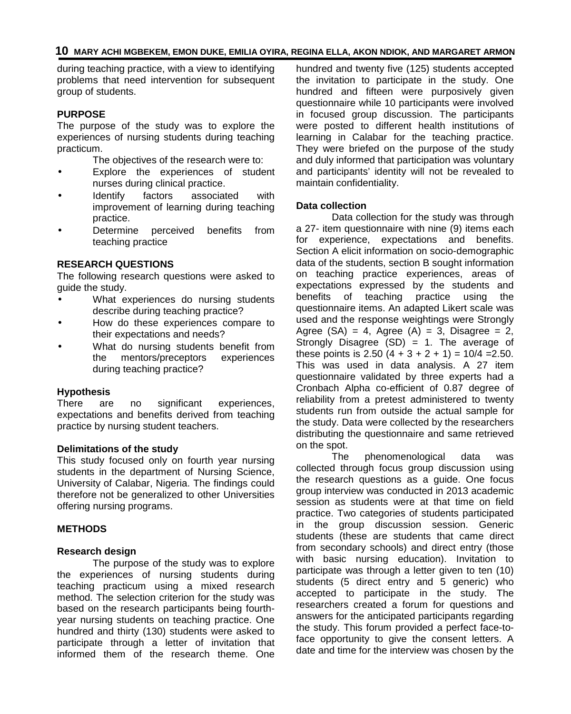during teaching practice, with a view to identifying problems that need intervention for subsequent group of students.

#### **PURPOSE**

The purpose of the study was to explore the experiences of nursing students during teaching practicum.

The objectives of the research were to:

- Explore the experiences of student nurses during clinical practice.
- Identify factors associated with improvement of learning during teaching practice.
- Determine perceived benefits from teaching practice

# **RESEARCH QUESTIONS**

The following research questions were asked to guide the study.

- What experiences do nursing students benefits describe during teaching practice?
- How do these experiences compare to their expectations and needs?
- What do nursing students benefit from the mentors/preceptors experiences during teaching practice?

# **Hypothesis**

are no significant experiences, expectations and benefits derived from teaching practice by nursing student teachers.

#### **Delimitations of the study**

This study focused only on fourth year nursing students in the department of Nursing Science, University of Calabar, Nigeria. The findings could therefore not be generalized to other Universities offering nursing programs.

#### **METHODS**

#### **Research design**

The purpose of the study was to explore the experiences of nursing students during teaching practicum using a mixed research method. The selection criterion for the study was based on the research participants being fourth year nursing students on teaching practice. One hundred and thirty (130) students were asked to participate through a letter of invitation that informed them of the research theme. One

hundred and twenty five (125) students accepted the invitation to participate in the study. One hundred and fifteen were purposively given questionnaire while 10 participants were involved in focused group discussion. The participants were posted to different health institutions of learning in Calabar for the teaching practice. They were briefed on the purpose of the study and duly informed that participation was voluntary and participants' identity will not be revealed to maintain confidentiality.

#### **Data collection**

Data collection for the study was through a 27- item questionnaire with nine (9) items each for experience, expectations and benefits. Section A elicit information on socio-demographic data of the students, section B sought information on teaching practice experiences, areas of expectations expressed by the students and of teaching practice using the questionnaire items. An adapted Likert scale was used and the response weightings were Strongly Agree  $(SA) = 4$ , Agree  $(A) = 3$ , Disagree = 2, Strongly Disagree  $(SD) = 1$ . The average of these points is  $2.50(4 + 3 + 2 + 1) = 10/4 = 2.50$ . This was used in data analysis. A 27 item questionnaire validated by three experts had a Cronbach Alpha co-efficient of 0.87 degree of reliability from a pretest administered to twenty students run from outside the actual sample for the study. Data were collected by the researchers distributing the questionnaire and same retrieved on the spot.

The phenomenological data was collected through focus group discussion using the research questions as a guide. One focus group interview was conducted in 2013 academic session as students were at that time on field practice. Two categories of students participated in the group discussion session. Generic students (these are students that came direct from secondary schools) and direct entry (those with basic nursing education). Invitation to participate was through a letter given to ten (10) students (5 direct entry and 5 generic) who accepted to participate in the study. The researchers created a forum for questions and answers for the anticipated participants regarding the study. This forum provided a perfect face-toface opportunity to give the consent letters. A date and time for the interview was chosen by the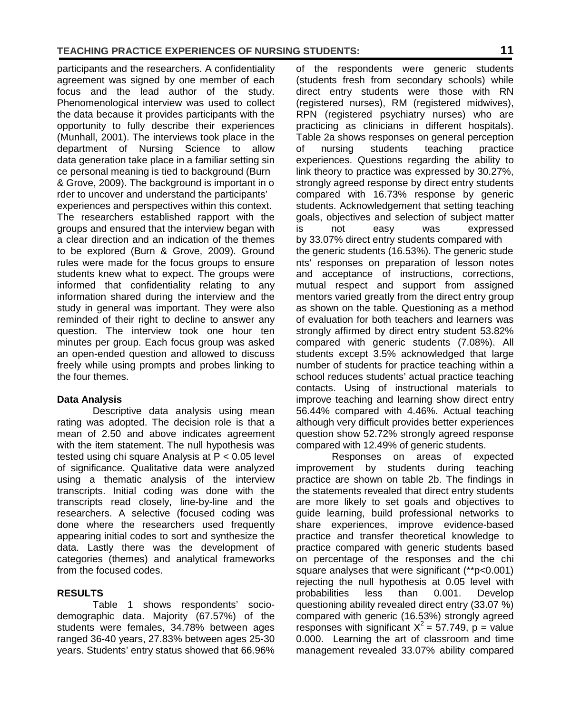participants and the researchers. A confidentiality agreement was signed by one member of each focus and the lead author of the study. Phenomenological interview was used to collect the data because it provides participants with the opportunity to fully describe their experiences (Munhall, 2001). The interviews took place in the department of Nursing Science to allow of nursing data generation take place in a familiar setting sin ce personal meaning is tied to background (Burn & Grove, 2009). The background is important in o rder to uncover and understand the participants'

experiences and perspectives within this context. The researchers established rapport with the groups and ensured that the interview began with a clear direction and an indication of the themes to be explored (Burn & Grove, 2009). Ground rules were made for the focus groups to ensure students knew what to expect. The groups were informed that confidentiality relating to any information shared during the interview and the study in general was important. They were also reminded of their right to decline to answer any question. The interview took one hour ten minutes per group. Each focus group was asked an open-ended question and allowed to discuss freely while using prompts and probes linking to the four themes.

# **Data Analysis**

Descriptive data analysis using mean rating was adopted. The decision role is that a mean of 2.50 and above indicates agreement with the item statement. The null hypothesis was tested using chi square Analysis at P < 0.05 level of significance. Qualitative data were analyzed using a thematic analysis of the interview transcripts. Initial coding was done with the transcripts read closely, line-by-line and the researchers. A selective (focused coding was done where the researchers used frequently appearing initial codes to sort and synthesize the data. Lastly there was the development of categories (themes) and analytical frameworks from the focused codes.

# **RESULTS**

Table 1 shows respondents' socio demographic data. Majority (67.57%) of the students were females, 34.78% between ages ranged 36-40 years, 27.83% between ages 25-30 years. Students' entry status showed that 66.96% of the respondents were generic students (students fresh from secondary schools) while direct entry students were those with RN (registered nurses), RM (registered midwives), RPN (registered psychiatry nurses) who are practicing as clinicians in different hospitals). Table 2a shows responses on general perception students teaching practice experiences. Questions regarding the ability to link theory to practice was expressed by 30.27%, strongly agreed response by direct entry students compared with 16.73% response by generic students. Acknowledgement that setting teaching goals, objectives and selection of subject matter not easy was expressed by 33.07% direct entry students compared with the generic students (16.53%). The generic stude nts' responses on preparation of lesson notes and acceptance of instructions, corrections, mutual respect and support from assigned mentors varied greatly from the direct entry group as shown on the table. Questioning as a method of evaluation for both teachers and learners was strongly affirmed by direct entry student 53.82% compared with generic students (7.08%). All students except 3.5% acknowledged that large number of students for practice teaching within a school reduces students' actual practice teaching contacts. Using of instructional materials to improve teaching and learning show direct entry 56.44% compared with 4.46%. Actual teaching although very difficult provides better experiences question show 52.72% strongly agreed response compared with 12.49% of generic students.

Responses on areas of expected improvement by students during teaching practice are shown on table 2b. The findings in the statements revealed that direct entry students are more likely to set goals and objectives to guide learning, build professional networks to share experiences, improve evidence-based practice and transfer theoretical knowledge to practice compared with generic students based on percentage of the responses and the chi square analyses that were significant (\*\*p<0.001) rejecting the null hypothesis at 0.05 level with probabilities less than 0.001. Develop questioning ability revealed direct entry (33.07 %) compared with generic (16.53%) strongly agreed responses with significant  $X^2 = 57.749$ , p = value 0.000. Learning the art of classroom and time management revealed 33.07% ability compared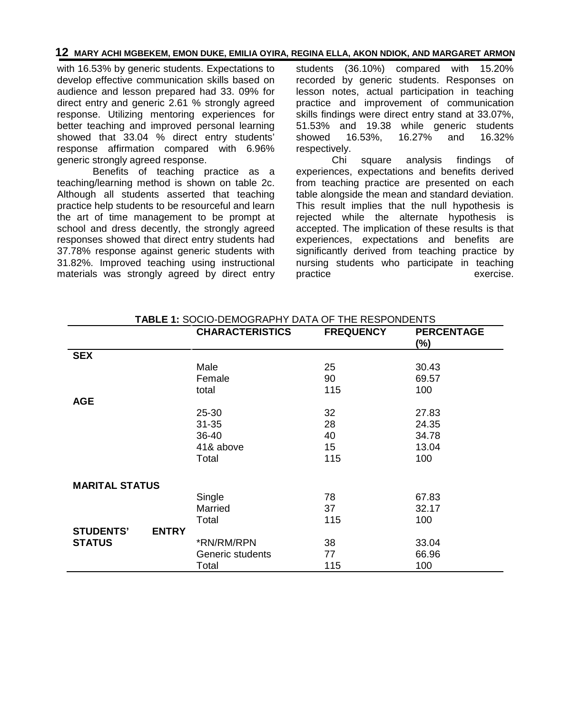with 16.53% by generic students. Expectations to develop effective communication skills based on audience and lesson prepared had 33. 09% for direct entry and generic 2.61 % strongly agreed response. Utilizing mentoring experiences for better teaching and improved personal learning showed that 33.04 % direct entry students' response affirmation compared with 6.96% generic strongly agreed response.

Benefits of teaching practice as a teaching/learning method is shown on table 2c. Although all students asserted that teaching practice help students to be resourceful and learn the art of time management to be prompt at school and dress decently, the strongly agreed responses showed that direct entry students had 37.78% response against generic students with 31.82%. Improved teaching using instructional materials was strongly agreed by direct entry

students (36.10%) compared with 15.20% recorded by generic students. Responses on lesson notes, actual participation in teaching practice and improvement of communication skills findings were direct entry stand at 33.07%, 51.53% and 19.38 while generic students showed 16.53%, 16.27% and 16.32% respectively.

Chi square analysis findings of experiences, expectations and benefits derived from teaching practice are presented on each table alongside the mean and standard deviation. This result implies that the null hypothesis is rejected while the alternate hypothesis is accepted. The implication of these results is that experiences, expectations and benefits are significantly derived from teaching practice by nursing students who participate in teaching exercise.

|                       |              | <b>CHARACTERISTICS</b> | <b>FREQUENCY</b> | <b>PERCENTAGE</b><br>(%) |
|-----------------------|--------------|------------------------|------------------|--------------------------|
| <b>SEX</b>            |              |                        |                  |                          |
|                       |              | Male                   | 25               | 30.43                    |
|                       |              | Female                 | 90               | 69.57                    |
|                       |              | total                  | 115              | 100                      |
| <b>AGE</b>            |              |                        |                  |                          |
|                       |              | 25-30                  | 32               | 27.83                    |
|                       |              | $31 - 35$              | 28               | 24.35                    |
|                       |              | 36-40                  | 40               | 34.78                    |
|                       |              | 41& above              | 15               | 13.04                    |
|                       |              | Total                  | 115              | 100                      |
| <b>MARITAL STATUS</b> |              |                        |                  |                          |
|                       |              | Single                 | 78               | 67.83                    |
|                       |              | Married                | 37               | 32.17                    |
|                       |              | Total                  | 115              | 100                      |
| <b>STUDENTS'</b>      | <b>ENTRY</b> |                        |                  |                          |
| <b>STATUS</b>         |              | *RN/RM/RPN             | 38               | 33.04                    |
|                       |              | Generic students       | 77               | 66.96                    |
|                       |              | Total                  | 115              | 100                      |

#### **TABLE 1:** SOCIO-DEMOGRAPHY DATA OF THE RESPONDENTS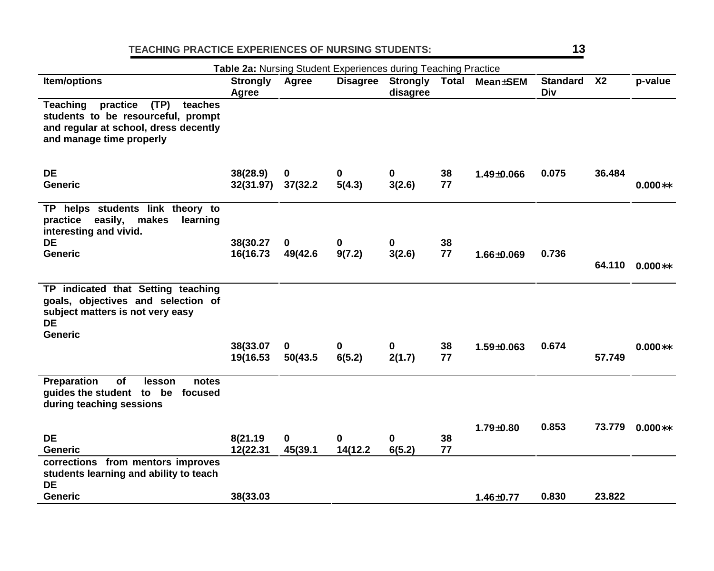**TEACHING PRACTICE EXPERIENCES OF NURSING STUDENTS: 13**

**Table 2a:** Nursing Student Experiences during Teaching Practice

| Item/options                                                                                                                                       | <b>Strongly Agree</b><br>Agree |              |             | disagree    |          | Disagree Strongly Total MeanESEM | <b>Standard</b><br><b>Div</b> | X <sub>2</sub> | p-value       |
|----------------------------------------------------------------------------------------------------------------------------------------------------|--------------------------------|--------------|-------------|-------------|----------|----------------------------------|-------------------------------|----------------|---------------|
| (TP)<br>Teaching<br>practice<br>teaches<br>students to be resourceful, prompt<br>and regular at school, dress decently<br>and manage time properly |                                |              |             |             |          |                                  |                               |                |               |
| <b>DE</b>                                                                                                                                          | 38(28.9)                       | 0            | 0           | 0           | 38       | 1.49E0.066                       | 0.075                         | 36.484         |               |
| <b>Generic</b>                                                                                                                                     | 32(31.97)                      | 37(32.2      | 5(4.3)      | 3(2.6)      | 77       |                                  |                               |                | 0.000; ;      |
| TP helps students link theory to<br>practice easily, makes learning<br>interesting and vivid.                                                      |                                |              |             |             |          |                                  |                               |                |               |
| <b>DE</b>                                                                                                                                          | 38(30.27                       | 0            | 0           | 0           | 38       |                                  |                               |                |               |
| <b>Generic</b>                                                                                                                                     | 16(16.73                       | 49(42.6      | 9(7.2)      | 3(2.6)      | 77       | 1.66E0.069                       | 0.736                         |                |               |
|                                                                                                                                                    |                                |              |             |             |          |                                  |                               |                | 64.110 0.000; |
| TP indicated that Setting teaching<br>goals, objectives and selection of<br>subject matters is not very easy<br><b>DE</b><br><b>Generic</b>        |                                |              |             |             |          |                                  |                               |                |               |
|                                                                                                                                                    | 38(33.07<br>19(16.53           | 0<br>50(43.5 | 0<br>6(5.2) | 0<br>2(1.7) | 38<br>77 | 1.59E0.063                       | 0.674                         | 57.749         | 0.000;        |
|                                                                                                                                                    |                                |              |             |             |          |                                  |                               |                |               |
| Preparation<br>of<br>lesson<br>notes<br>guides the student to be focused<br>during teaching sessions                                               |                                |              |             |             |          |                                  |                               |                |               |
|                                                                                                                                                    |                                |              |             |             |          | 1.79E0.80                        | 0.853                         | 73.779         | 0.000:        |
| <b>DE</b>                                                                                                                                          | 8(21.19                        | 0            | 0           | 0           | 38       |                                  |                               |                |               |
| <b>Generic</b>                                                                                                                                     | 12(22.31                       | 45(39.1      | 14(12.2     | 6(5.2)      | 77       |                                  |                               |                |               |
| corrections from mentors improves<br>students learning and ability to teach<br><b>DE</b>                                                           |                                |              |             |             |          |                                  |                               |                |               |
| <b>Generic</b>                                                                                                                                     | 38(33.03                       |              |             |             |          | 1.46E0.77                        | 0.830                         | 23.822         |               |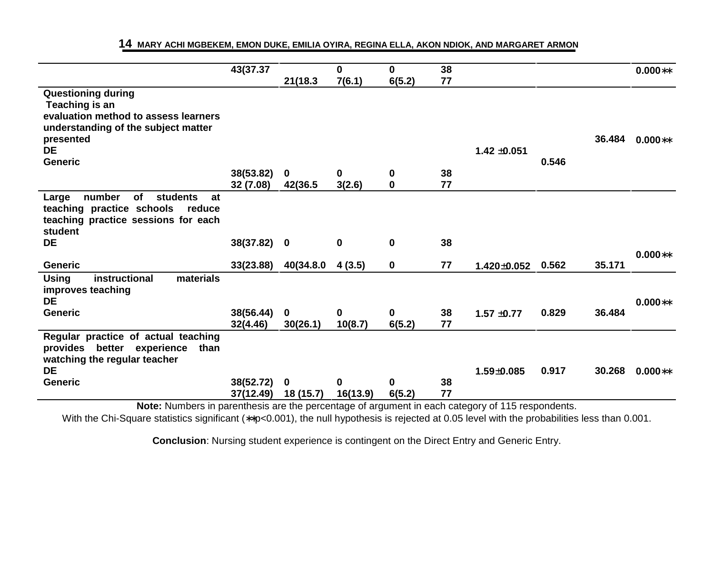|                                            | 43(37.37    |             | 0        | $\mathbf{0}$ | 38 |             |       |        | 0.000; ; |
|--------------------------------------------|-------------|-------------|----------|--------------|----|-------------|-------|--------|----------|
|                                            |             | 21(18.3     | 7(6.1)   | 6(5.2)       | 77 |             |       |        |          |
| <b>Questioning during</b>                  |             |             |          |              |    |             |       |        |          |
| Teaching is an                             |             |             |          |              |    |             |       |        |          |
| evaluation method to assess learners       |             |             |          |              |    |             |       |        |          |
| understanding of the subject matter        |             |             |          |              |    |             |       |        |          |
| presented                                  |             |             |          |              |    |             |       | 36.484 | 0.000; ; |
| <b>DE</b>                                  |             |             |          |              |    | 1.42 E0.051 |       |        |          |
| <b>Generic</b>                             |             |             |          |              |    |             | 0.546 |        |          |
|                                            | 38(53.82)   | $\bf{0}$    | 0        | 0            | 38 |             |       |        |          |
|                                            | 32 (7.08)   | 42(36.5     | 3(2.6)   | $\mathbf{0}$ | 77 |             |       |        |          |
| number<br>of<br>students<br>Large<br>at    |             |             |          |              |    |             |       |        |          |
| teaching practice schools<br>reduce        |             |             |          |              |    |             |       |        |          |
| teaching practice sessions for each        |             |             |          |              |    |             |       |        |          |
| student                                    |             |             |          |              |    |             |       |        |          |
| <b>DE</b>                                  | 38(37.82) 0 |             | 0        | $\bf{0}$     | 38 |             |       |        |          |
|                                            |             |             |          |              |    |             |       |        | 0.000; ; |
| <b>Generic</b>                             | 33(23.88)   | 40(34.8.0   | 4(3.5)   | 0            | 77 | 1.420E0.052 | 0.562 | 35.171 |          |
| <b>Using</b><br>instructional<br>materials |             |             |          |              |    |             |       |        |          |
| improves teaching                          |             |             |          |              |    |             |       |        |          |
| <b>DE</b>                                  |             |             |          |              |    |             |       |        | 0.000;   |
| <b>Generic</b>                             | 38(56.44)   | $\mathbf 0$ | 0        | 0            | 38 | 1.57 E0.77  | 0.829 | 36.484 |          |
|                                            | 32(4.46)    | 30(26.1)    | 10(8.7)  | 6(5.2)       | 77 |             |       |        |          |
| Regular practice of actual teaching        |             |             |          |              |    |             |       |        |          |
| provides better experience<br>than         |             |             |          |              |    |             |       |        |          |
| watching the regular teacher               |             |             |          |              |    |             |       |        |          |
| <b>DE</b>                                  |             |             |          |              |    | 1.59E0.085  | 0.917 | 30.268 | 0.000:   |
| Generic                                    | 38(52.72)   | $\mathbf 0$ | 0        | $\bf{0}$     | 38 |             |       |        |          |
|                                            | 37(12.49)   | 18 (15.7)   | 16(13.9) | 6(5.2)       | 77 |             |       |        |          |
|                                            |             |             |          |              |    |             |       |        |          |

**Note:** Numbers in parenthesis are the percentage of argument in each category of 115 respondents.

With the Chi-Square statistics significant (\*\*p<0.001), the null hypothesis is rejected at 0.05 level with the probabilities less than 0.001.

**Conclusion**: Nursing student experience is contingent on the Direct Entry and Generic Entry.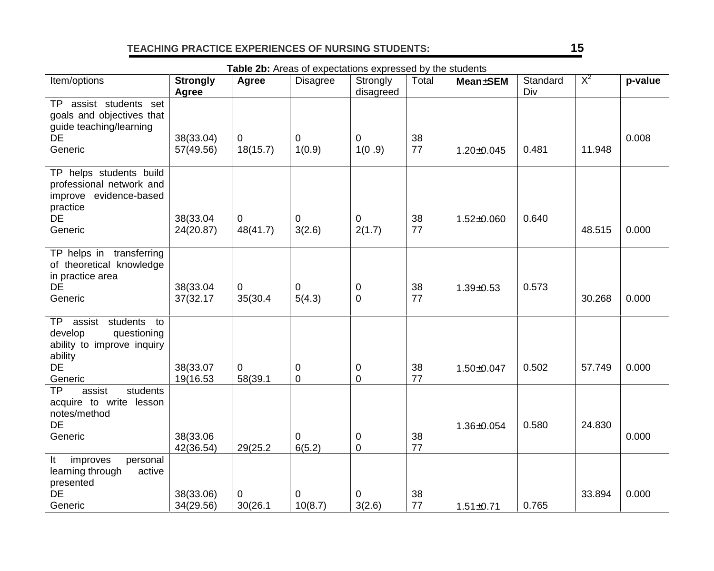# **TEACHING PRACTICE EXPERIENCES OF NURSING STUDENTS: 15**

| Table 2b: Areas of expectations expressed by the students                                                    |                          |                           |                 |                       |          |                  |                 |        |         |  |
|--------------------------------------------------------------------------------------------------------------|--------------------------|---------------------------|-----------------|-----------------------|----------|------------------|-----------------|--------|---------|--|
| Item/options                                                                                                 | <b>Strongly</b><br>Agree | Agree                     | <b>Disagree</b> | Strongly<br>disagreed | Total    | <b>MeanESEM</b>  | Standard<br>Div | $X^2$  | p-value |  |
| TP assist students set<br>goals and objectives that<br>guide teaching/learning<br>DE<br>Generic              | 38(33.04)<br>57(49.56)   | 0<br>18(15.7)             | 0<br>1(0.9)     | 0<br>1(0.9)           | 38<br>77 | $1.20 \pm 0.045$ | 0.481           | 11.948 | 0.008   |  |
| TP helps students build<br>professional network and<br>improve evidence-based<br>practice<br>DE<br>Generic   | 38(33.04<br>24(20.87)    | $\mathbf 0$<br>48(41.7)   | 0<br>3(2.6)     | 0<br>2(1.7)           | 38<br>77 | $1.52 \pm 0.060$ | 0.640           | 48.515 | 0.000   |  |
| TP helps in transferring<br>of theoretical knowledge<br>in practice area<br>DE<br>Generic                    | 38(33.04<br>37(32.17)    | 0<br>35(30.4)             | 0<br>5(4.3)     | 0<br>0                | 38<br>77 | $1.39 \pm 0.53$  | 0.573           | 30.268 | 0.000   |  |
| TP assist<br>students to<br>develop<br>questioning<br>ability to improve inquiry<br>ability<br>DE<br>Generic | 38(33.07<br>19(16.53     | $\overline{0}$<br>58(39.1 | 0<br>0          | 0<br>0                | 38<br>77 | $1.50 \pm 0.047$ | 0.502           | 57.749 | 0.000   |  |
| <b>TP</b><br>students<br>assist<br>acquire to write lesson<br>notes/method<br>DE<br>Generic                  | 38(33.06<br>42(36.54)    | 29(25.2                   | 0<br>6(5.2)     | 0<br>0                | 38<br>77 | $1.36 \pm 0.054$ | 0.580           | 24.830 | 0.000   |  |
| It<br>improves<br>personal<br>learning through<br>active<br>presented<br>DE<br>Generic                       | 38(33.06)<br>34(29.56)   | 0<br>30(26.1)             | 0<br>10(8.7)    | 0<br>3(2.6)           | 38<br>77 | $1.51 \pm 0.71$  | 0.765           | 33.894 | 0.000   |  |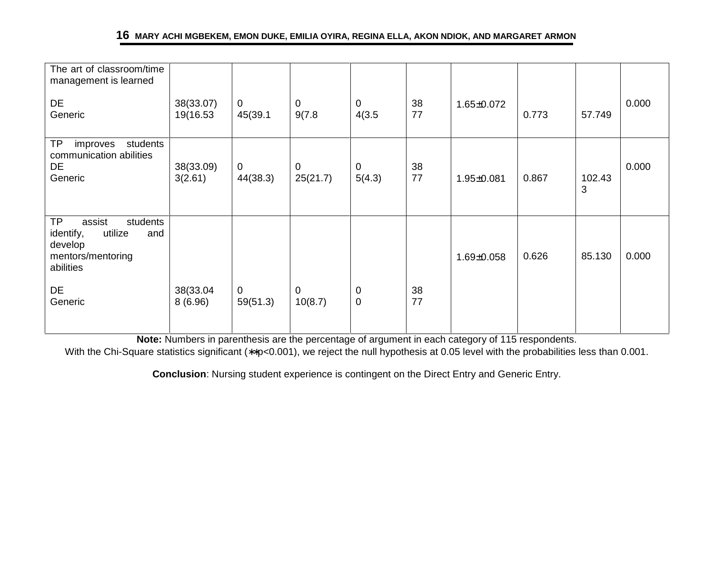| The art of classroom/time<br>management is learned                                                          |                       |                         |                         |                            |          |                  |       |             |       |
|-------------------------------------------------------------------------------------------------------------|-----------------------|-------------------------|-------------------------|----------------------------|----------|------------------|-------|-------------|-------|
| DE<br>Generic                                                                                               | 38(33.07)<br>19(16.53 | 0<br>45(39.1            | $\mathbf 0$<br>9(7.8)   | $\mathbf 0$<br>4(3.5)      | 38<br>77 | $1.65 \pm 0.072$ | 0.773 | 57.749      | 0.000 |
| TP<br>students<br>improves<br>communication abilities<br>DE<br>Generic                                      | 38(33.09)<br>3(2.61)  | $\mathbf 0$<br>44(38.3) | $\mathbf 0$<br>25(21.7) | $\mathbf 0$<br>5(4.3)      | 38<br>77 | $1.95 \pm 0.081$ | 0.867 | 102.43<br>3 | 0.000 |
| <b>TP</b><br>assist<br>students<br>utilize<br>identify,<br>and<br>develop<br>mentors/mentoring<br>abilities |                       |                         |                         |                            |          | $1.69 \pm 0.058$ | 0.626 | 85.130      | 0.000 |
| DE<br>Generic                                                                                               | 38(33.04<br>8(6.96)   | $\mathbf 0$<br>59(51.3) | 0<br>10(8.7)            | $\mathbf 0$<br>$\mathbf 0$ | 38<br>77 |                  |       |             |       |

**Note:** Numbers in parenthesis are the percentage of argument in each category of 115 respondents.

With the Chi-Square statistics significant (\*\*p<0.001), we reject the null hypothesis at 0.05 level with the probabilities less than 0.001.

**Conclusion**: Nursing student experience is contingent on the Direct Entry and Generic Entry.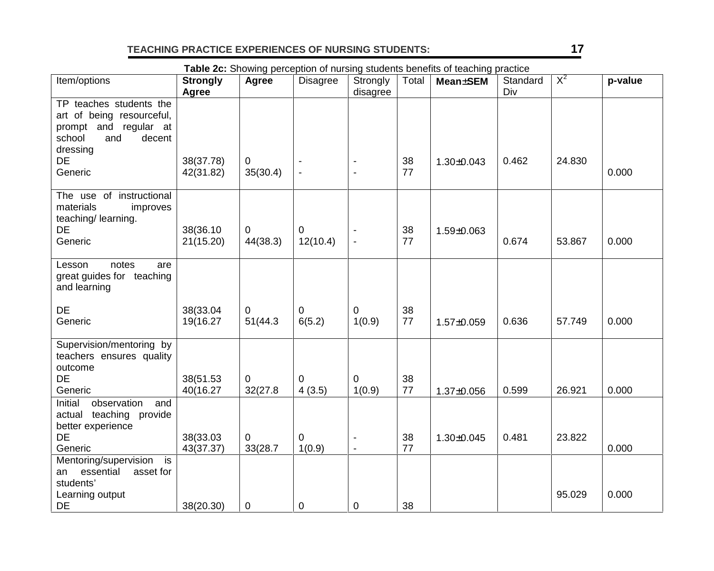# **TEACHING PRACTICE EXPERIENCES OF NURSING STUDENTS: 17**

| <b>Table 2c:</b> Showing perception of nursing students benefits of teaching practice |  |
|---------------------------------------------------------------------------------------|--|
|---------------------------------------------------------------------------------------|--|

| Item/options                                                                                                               | <b>Strongly</b><br>Agree | Agree         | <b>Disagree</b>          | Strongly<br>disagree     | Total    | <b>MeanESEM</b>  | Standard<br>Div | $X^2$  | p-value |
|----------------------------------------------------------------------------------------------------------------------------|--------------------------|---------------|--------------------------|--------------------------|----------|------------------|-----------------|--------|---------|
| TP teaches students the<br>art of being resourceful,<br>prompt and regular at<br>school<br>and<br>decent<br>dressing<br>DE | 38(37.78)                | 0             |                          |                          | 38       | $1.30 \pm 0.043$ | 0.462           | 24.830 |         |
| Generic                                                                                                                    | 42(31.82)                | 35(30.4)      | $\overline{\phantom{a}}$ |                          | 77       |                  |                 |        | 0.000   |
| The use of instructional<br>materials<br>improves<br>teaching/learning.<br><b>DE</b><br>Generic                            | 38(36.10<br>21(15.20)    | 0<br>44(38.3) | 0<br>12(10.4)            | $\blacksquare$           | 38<br>77 | $1.59 \pm 0.063$ | 0.674           | 53.867 | 0.000   |
| notes<br>Lesson<br>are<br>great guides for teaching<br>and learning                                                        |                          |               |                          |                          |          |                  |                 |        |         |
| DE<br>Generic                                                                                                              | 38(33.04<br>19(16.27     | 0<br>51(44.3) | 0<br>6(5.2)              | 0<br>1(0.9)              | 38<br>77 | $1.57 \pm 0.059$ | 0.636           | 57.749 | 0.000   |
| Supervision/mentoring by<br>teachers ensures quality<br>outcome<br>DE                                                      | 38(51.53                 | $\mathbf 0$   | 0                        | 0                        | 38       |                  |                 |        |         |
| Generic                                                                                                                    | 40(16.27                 | 32(27.8       | 4(3.5)                   | 1(0.9)                   | 77       | $1.37 \pm 0.056$ | 0.599           | 26.921 | 0.000   |
| Initial<br>observation<br>and<br>actual teaching provide<br>better experience                                              |                          |               |                          |                          |          |                  |                 |        |         |
| DE<br>Generic                                                                                                              | 38(33.03<br>43(37.37)    | 0<br>33(28.7  | 0<br>1(0.9)              | $\overline{\phantom{a}}$ | 38<br>77 | $1.30 \pm 0.045$ | 0.481           | 23.822 | 0.000   |
| is<br>Mentoring/supervision<br>asset for<br>essential<br>an<br>students'<br>Learning output                                |                          |               |                          |                          |          |                  |                 | 95.029 | 0.000   |
| DE                                                                                                                         | 38(20.30)                | $\pmb{0}$     | 0                        | 0                        | 38       |                  |                 |        |         |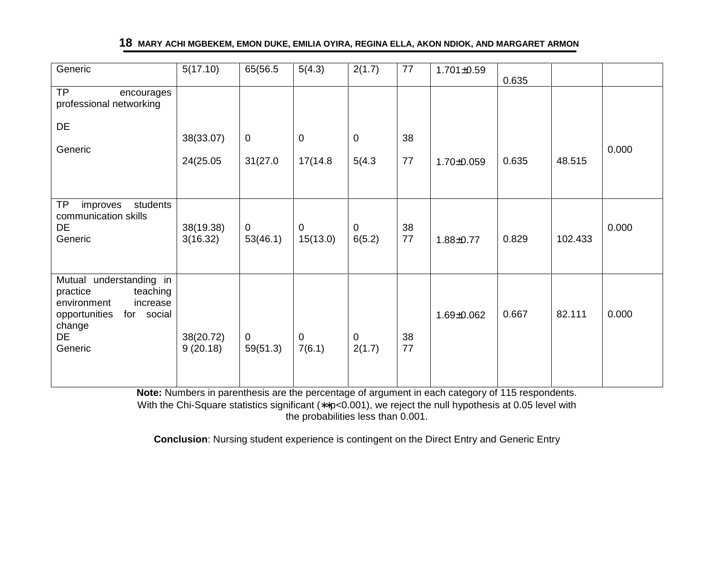| Generic                                                                                                                              | 5(17.10)              | 65(56.5               | 5(4.3)                  | 2(1.7)                | 77       | $1.701 \pm 0.59$ | 0.635 |         |       |
|--------------------------------------------------------------------------------------------------------------------------------------|-----------------------|-----------------------|-------------------------|-----------------------|----------|------------------|-------|---------|-------|
| <b>TP</b><br>encourages<br>professional networking                                                                                   |                       |                       |                         |                       |          |                  |       |         |       |
| DE<br>Generic                                                                                                                        | 38(33.07)<br>24(25.05 | $\pmb{0}$<br>31(27.0) | $\pmb{0}$<br>17(14.8)   | $\mathbf 0$<br>5(4.3) | 38<br>77 |                  | 0.635 | 48.515  | 0.000 |
|                                                                                                                                      |                       |                       |                         |                       |          | $1.70 \pm 0.059$ |       |         |       |
| <b>TP</b><br>students<br>improves<br>communication skills<br>DE<br>Generic                                                           | 38(19.38)<br>3(16.32) | 0<br>53(46.1)         | $\mathbf 0$<br>15(13.0) | $\mathbf 0$<br>6(5.2) | 38<br>77 | $1.88 \pm 0.77$  | 0.829 | 102.433 | 0.000 |
| Mutual understanding in<br>teaching<br>practice<br>environment<br>increase<br>opportunities<br>for social<br>change<br>DE<br>Generic | 38(20.72)<br>9(20.18) | 0<br>59(51.3)         | $\pmb{0}$<br>7(6.1)     | 0<br>2(1.7)           | 38<br>77 | 1.69±0.062       | 0.667 | 82.111  | 0.000 |
|                                                                                                                                      |                       |                       |                         |                       |          |                  |       |         |       |

**Note:** Numbers in parenthesis are the percentage of argument in each category of 115 respondents. With the Chi-Square statistics significant (\*\*p<0.001), we reject the null hypothesis at 0.05 level with the probabilities less than 0.001.

**Conclusion**: Nursing student experience is contingent on the Direct Entry and Generic Entry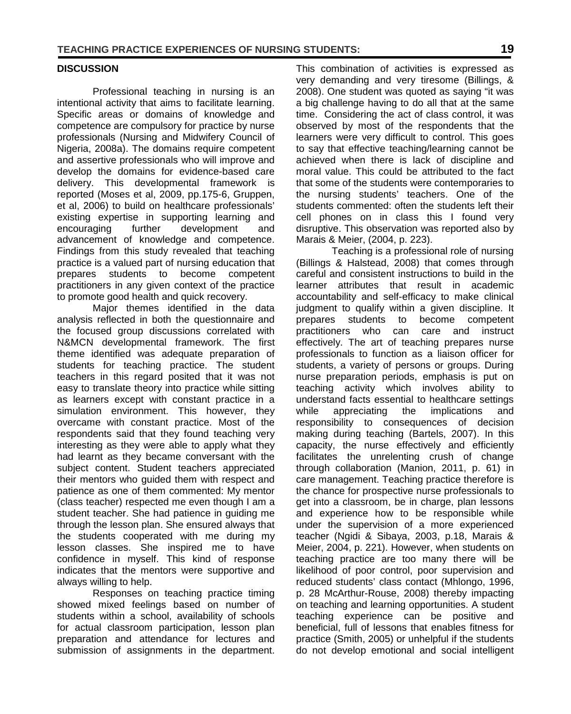# **DISCUSSION**

Professional teaching in nursing is an intentional activity that aims to facilitate learning. Specific areas or domains of knowledge and competence are compulsory for practice by nurse professionals (Nursing and Midwifery Council of Nigeria, 2008a). The domains require competent and assertive professionals who will improve and develop the domains for evidence-based care delivery. This developmental framework is reported (Moses et al, 2009, pp.175-6, Gruppen, et al, 2006) to build on healthcare professionals' existing expertise in supporting learning and encouraging further development and advancement of knowledge and competence. Findings from this study revealed that teaching practice is a valued part of nursing education that prepares students to become competent practitioners in any given context of the practice to promote good health and quick recovery.

Major themes identified in the data analysis reflected in both the questionnaire and the focused group discussions correlated with N&MCN developmental framework. The first theme identified was adequate preparation of students for teaching practice. The student teachers in this regard posited that it was not easy to translate theory into practice while sitting as learners except with constant practice in a simulation environment. This however, they while overcame with constant practice. Most of the respondents said that they found teaching very interesting as they were able to apply what they had learnt as they became conversant with the subject content. Student teachers appreciated their mentors who guided them with respect and patience as one of them commented: My mentor (class teacher) respected me even though I am a student teacher. She had patience in guiding me through the lesson plan. She ensured always that the students cooperated with me during my lesson classes. She inspired me to have confidence in myself. This kind of response indicates that the mentors were supportive and always willing to help.

Responses on teaching practice timing showed mixed feelings based on number of students within a school, availability of schools for actual classroom participation, lesson plan preparation and attendance for lectures and submission of assignments in the department.

This combination of activities is expressed as very demanding and very tiresome (Billings, & 2008). One student was quoted as saying "it was a big challenge having to do all that at the same time. Considering the act of class control, it was observed by most of the respondents that the learners were very difficult to control. This goes to say that effective teaching/learning cannot be achieved when there is lack of discipline and moral value. This could be attributed to the fact that some of the students were contemporaries to the nursing students' teachers. One of the students commented: often the students left their cell phones on in class this I found very disruptive. This observation was reported also by Marais & Meier, (2004, p. 223).

Teaching is a professional role of nursing (Billings & Halstead, 2008) that comes through careful and consistent instructions to build in the learner attributes that result in academic accountability and self-efficacy to make clinical judgment to qualify within a given discipline. It prepares students to become who can care and instruct effectively. The art of teaching prepares nurse professionals to function as a liaison officer for students, a variety of persons or groups. During nurse preparation periods, emphasis is put on teaching activity which involves ability to understand facts essential to healthcare settings appreciating the implications and responsibility to consequences of decision making during teaching (Bartels, 2007). In this capacity, the nurse effectively and efficiently facilitates the unrelenting crush of change through collaboration (Manion, 2011, p. 61) in care management. Teaching practice therefore is the chance for prospective nurse professionals to get into a classroom, be in charge, plan lessons and experience how to be responsible while under the supervision of a more experienced teacher (Ngidi & Sibaya, 2003, p.18, Marais & Meier, 2004, p. 221). However, when students on teaching practice are too many there will be likelihood of poor control, poor supervision and reduced students' class contact (Mhlongo, 1996, p. 28 McArthur-Rouse, 2008) thereby impacting on teaching and learning opportunities. A student teaching experience can be positive and beneficial, full of lessons that enables fitness for practice (Smith, 2005) or unhelpful if the students do not develop emotional and social intelligent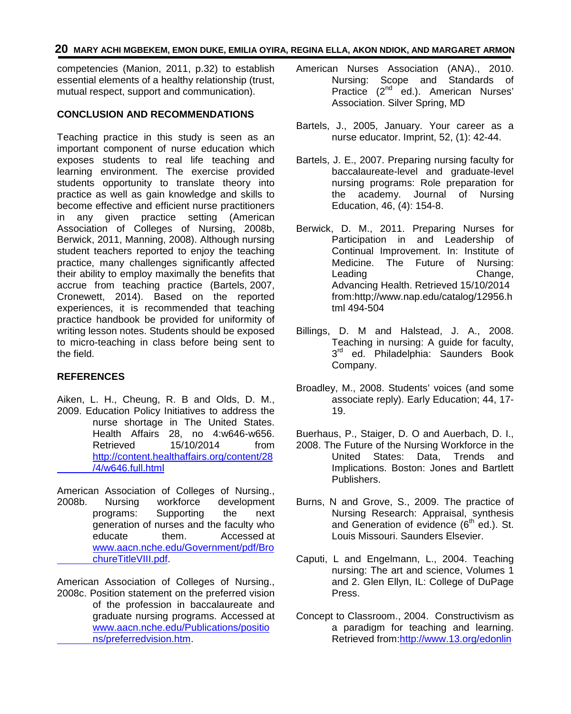competencies (Manion, 2011, p.32) to establish essential elements of a healthy relationship (trust, mutual respect, support and communication).

# **CONCLUSION AND RECOMMENDATIONS**

Teaching practice in this study is seen as an important component of nurse education which exposes students to real life teaching and learning environment. The exercise provided students opportunity to translate theory into practice as well as gain knowledge and skills to become effective and efficient nurse practitioners in any given practice setting (American Association of Colleges of Nursing, 2008b, Berwick, 2011, Manning, 2008). Although nursing student teachers reported to enjoy the teaching practice, many challenges significantly affected their ability to employ maximally the benefits that accrue from teaching practice (Bartels, 2007, Cronewett, 2014). Based on the reported experiences, it is recommended that teaching practice handbook be provided for uniformity of writing lesson notes. Students should be exposed to micro-teaching in class before being sent to the field.

# **REFERENCES**

- Aiken, L. H., Cheung, R. B and Olds, D. M., 2009. Education Policy Initiatives to address the nurse shortage in The United States. Health Affairs 28, no 4:w646-w656. Retrieved 15/10/2014 from http://content.healthaffairs.org/content/28 /4/w646.full.html
- American Association of Colleges of Nursing., 2008b. Nursing workforce development programs: Supporting the next generation of nurses and the faculty who educate them. Accessed at www.aacn.nche.edu/Government/pdf/Bro chureTitleVIII.pdf.

American Association of Colleges of Nursing., 2008c. Position statement on the preferred vision

of the profession in baccalaureate and graduate nursing programs. Accessed at www.aacn.nche.edu/Publications/positio ns/preferredvision.htm.

- American Nurses Association (ANA)., 2010. Nursing: Scope and Standards of Practice (2<sup>nd</sup> ed.). American Nurses' Association. Silver Spring, MD
- Bartels, J., 2005, January. Your career as a nurse educator. Imprint, 52, (1): 42-44.
- Bartels, J. E., 2007. Preparing nursing faculty for baccalaureate-level and graduate-level nursing programs: Role preparation for the academy. Journal of Nursing Education, 46, (4): 154-8.
- Berwick, D. M., 2011. Preparing Nurses for Participation in and Leadership of Continual Improvement. In: Institute of Medicine. The Future of Nursing: Leading **Change**, Advancing Health. Retrieved 15/10/2014 from:http;//www.nap.edu/catalog/12956.h tml 494-504
- Billings, D. M and Halstead, J. A., 2008. Teaching in nursing: A guide for faculty, 3<sup>rd</sup> ed. Philadelphia: Saunders Book Company.
- Broadley, M., 2008. Students' voices (and some associate reply). Early Education; 44, 17- 19.
- Buerhaus, P., Staiger, D. O and Auerbach, D. I.,
- 2008. The Future of the Nursing Workforce in the United States: Data, Trends and Implications. Boston: Jones and Bartlett Publishers.
- Burns, N and Grove, S., 2009. The practice of Nursing Research: Appraisal, synthesis and Generation of evidence  $(6<sup>th</sup>$  ed.). St. Louis Missouri. Saunders Elsevier.
- Caputi, L and Engelmann, L., 2004. Teaching nursing: The art and science, Volumes 1 and 2. Glen Ellyn, IL: College of DuPage Press.
- Concept to Classroom., 2004. Constructivism as a paradigm for teaching and learning. Retrieved from:http://www.13.org/edonlin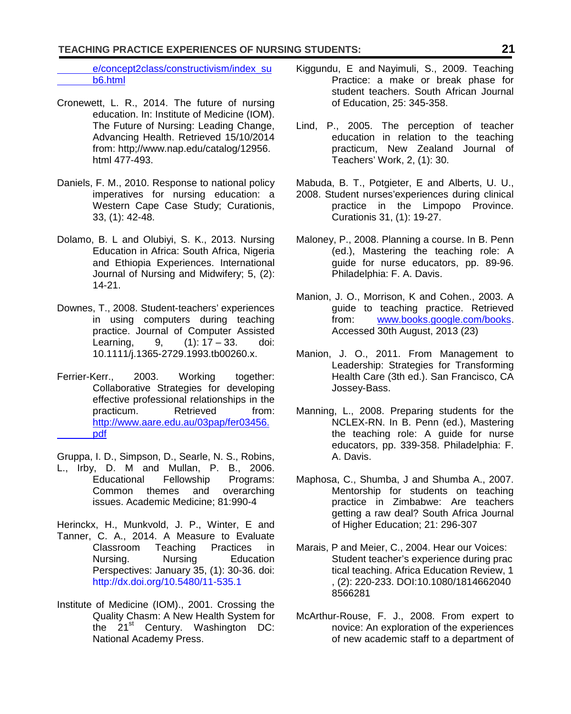e/concept2class/constructivism/index\_su b6.html

- Cronewett, L. R., 2014. The future of nursing education. In: Institute of Medicine (IOM). The Future of Nursing: Leading Change, Advancing Health. Retrieved 15/10/2014 from: http;//www.nap.edu/catalog/12956. html 477-493.
- Daniels, F. M., 2010. Response to national policy imperatives for nursing education: a Western Cape Case Study; Curationis, 33, (1): 42-48.
- Dolamo, B. L and Olubiyi, S. K., 2013. Nursing Education in Africa: South Africa, Nigeria and Ethiopia Experiences. International Journal of Nursing and Midwifery; 5, (2): 14-21.
- Downes, T., 2008. Student-teachers' experiences in using computers during teaching practice. Journal of Computer Assisted Learning, 9, (1): 17 – 33. doi: 10.1111/j.1365-2729.1993.tb00260.x.
- Ferrier-Kerr., 2003. Working together: Collaborative Strategies for developing effective professional relationships in the practicum. Retrieved from: http://www.aare.edu.au/03pap/fer03456. pdf
- Gruppa, I. D., Simpson, D., Searle, N. S., Robins,
- L., Irby, D. M and Mullan, P. B., 2006. Educational Fellowship Programs: Common themes and overarching issues. Academic Medicine; 81:990-4
- Herinckx, H., Munkvold, J. P., Winter, E and Tanner, C. A., 2014. A Measure to Evaluate Classroom Teaching Practices in Nursing. Nursing Education Perspectives: January 35, (1): 30-36. doi: http://dx.doi.org/10.5480/11-535.1
- Institute of Medicine (IOM)., 2001. Crossing the Quality Chasm: A New Health System for the  $21<sup>st</sup>$  Century. Washington DC: National Academy Press.
- Kiggundu, E and Nayimuli, S., 2009. Teaching Practice: a make or break phase for student teachers. South African Journal of Education, 25: 345-358.
- Lind, P., 2005. The perception of teacher education in relation to the teaching practicum, New Zealand Journal of Teachers' Work, 2, (1): 30.

Mabuda, B. T., Potgieter, E and Alberts, U. U.,

- 2008. Student nurses'experiences during clinical practice in the Limpopo Province. Curationis 31, (1): 19-27.
- Maloney, P., 2008. Planning a course. In B. Penn (ed.), Mastering the teaching role: A guide for nurse educators, pp. 89-96. Philadelphia: F. A. Davis.
- Manion, J. O., Morrison, K and Cohen., 2003. A guide to teaching practice. Retrieved from: www.books.google.com/books. Accessed 30th August, 2013 (23)
- Manion, J. O., 2011. From Management to Leadership: Strategies for Transforming Health Care (3th ed.). San Francisco, CA Jossey-Bass.
- Manning, L., 2008. Preparing students for the NCLEX-RN. In B. Penn (ed.), Mastering the teaching role: A guide for nurse educators, pp. 339-358. Philadelphia: F. A. Davis.
- Maphosa, C., Shumba, J and Shumba A., 2007. Mentorship for students on teaching practice in Zimbabwe: Are teachers getting a raw deal? South Africa Journal of Higher Education; 21: 296-307
- Marais, P and Meier, C., 2004. Hear our Voices: Student teacher's experience during prac tical teaching. Africa Education Review, 1 , (2): 220-233. DOI:10.1080/1814662040 8566281
- McArthur-Rouse, F. J., 2008. From expert to novice: An exploration of the experiences of new academic staff to a department of